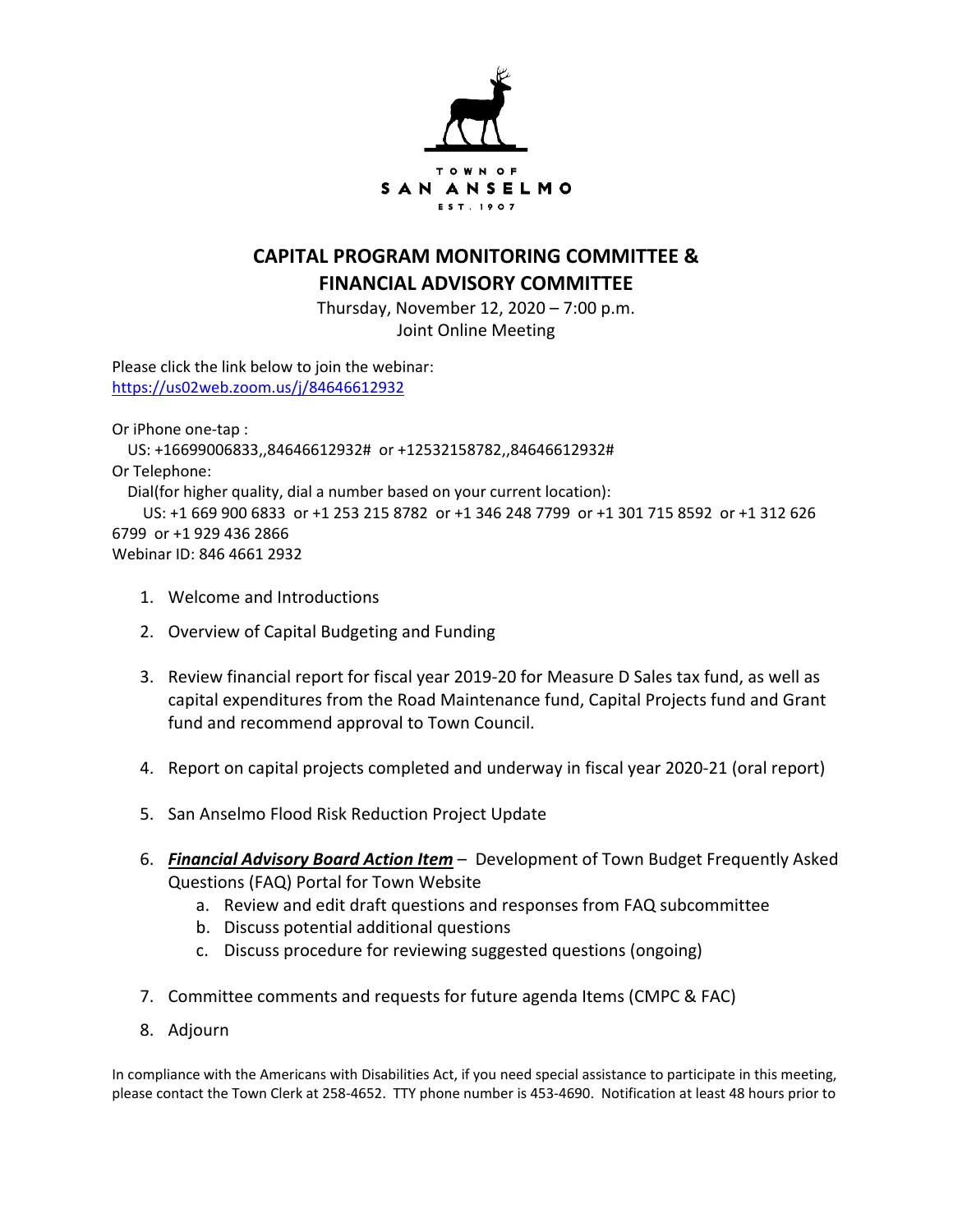

## **CAPITAL PROGRAM MONITORING COMMITTEE & FINANCIAL ADVISORY COMMITTEE**

Thursday, November 12, 2020 – 7:00 p.m. Joint Online Meeting

Please click the link below to join the webinar: https://us02web.zoom.us/j/84646612932

Or iPhone one-tap :

 US: +16699006833,,84646612932# or +12532158782,,84646612932# Or Telephone: Dial(for higher quality, dial a number based on your current location): US: +1 669 900 6833 or +1 253 215 8782 or +1 346 248 7799 or +1 301 715 8592 or +1 312 626 6799 or +1 929 436 2866 Webinar ID: 846 4661 2932

- 1. Welcome and Introductions
- 2. Overview of Capital Budgeting and Funding
- 3. Review financial report for fiscal year 2019-20 for Measure D Sales tax fund, as well as capital expenditures from the Road Maintenance fund, Capital Projects fund and Grant fund and recommend approval to Town Council.
- 4. Report on capital projects completed and underway in fiscal year 2020-21 (oral report)
- 5. San Anselmo Flood Risk Reduction Project Update
- 6. *Financial Advisory Board Action Item* Development of Town Budget Frequently Asked Questions (FAQ) Portal for Town Website
	- a. Review and edit draft questions and responses from FAQ subcommittee
	- b. Discuss potential additional questions
	- c. Discuss procedure for reviewing suggested questions (ongoing)
- 7. Committee comments and requests for future agenda Items (CMPC & FAC)
- 8. Adjourn

In compliance with the Americans with Disabilities Act, if you need special assistance to participate in this meeting, please contact the Town Clerk at 258-4652. TTY phone number is 453-4690. Notification at least 48 hours prior to